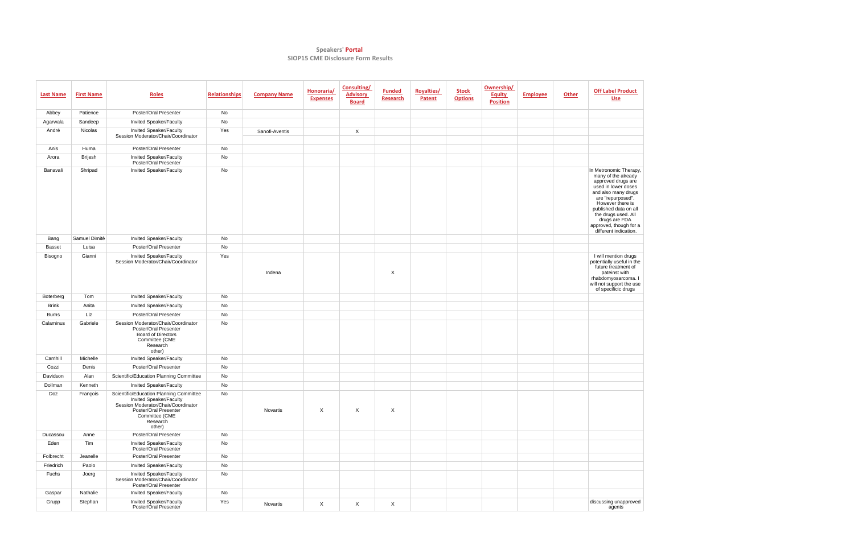## **Speakers' Portal SIOP15 CME Disclosure Form Results**

| <b>Last Name</b> | <b>First Name</b> | <b>Roles</b>                                                                                                                                                               | <b>Relationships</b> | <b>Company Name</b> | Honoraria/<br><b>Expenses</b> | <b>Consulting/</b><br><b>Advisory</b><br><b>Board</b> | <b>Funded</b><br>Research | <b>Royalties/</b><br>Patent | <b>Stock</b><br><b>Options</b> | Ownership/<br><b>Equity</b><br><b>Position</b> | <b>Employee</b> | <b>Other</b> | <b>Off Label Product</b><br><b>Use</b>                                                                                                                                                                                                                                         |
|------------------|-------------------|----------------------------------------------------------------------------------------------------------------------------------------------------------------------------|----------------------|---------------------|-------------------------------|-------------------------------------------------------|---------------------------|-----------------------------|--------------------------------|------------------------------------------------|-----------------|--------------|--------------------------------------------------------------------------------------------------------------------------------------------------------------------------------------------------------------------------------------------------------------------------------|
| Abbey            | Patience          | Poster/Oral Presenter                                                                                                                                                      | No                   |                     |                               |                                                       |                           |                             |                                |                                                |                 |              |                                                                                                                                                                                                                                                                                |
| Agarwala         | Sandeep           | Invited Speaker/Faculty                                                                                                                                                    | No                   |                     |                               |                                                       |                           |                             |                                |                                                |                 |              |                                                                                                                                                                                                                                                                                |
| André            | Nicolas           | Invited Speaker/Faculty<br>Session Moderator/Chair/Coordinator                                                                                                             | Yes                  | Sanofi-Aventis      |                               | $\mathsf{X}$                                          |                           |                             |                                |                                                |                 |              |                                                                                                                                                                                                                                                                                |
| Anis             | Huma              | Poster/Oral Presenter                                                                                                                                                      | No                   |                     |                               |                                                       |                           |                             |                                |                                                |                 |              |                                                                                                                                                                                                                                                                                |
| Arora            | <b>Brijesh</b>    | Invited Speaker/Faculty<br>Poster/Oral Presenter                                                                                                                           | No                   |                     |                               |                                                       |                           |                             |                                |                                                |                 |              |                                                                                                                                                                                                                                                                                |
| Banavali         | Shripad           | Invited Speaker/Faculty                                                                                                                                                    | No                   |                     |                               |                                                       |                           |                             |                                |                                                |                 |              | In Metronomic Therapy,<br>many of the already<br>approved drugs are<br>used in lower doses<br>and also many drugs<br>are "repurposed".<br>However there is<br>published data on all<br>the drugs used. All<br>drugs are FDA<br>approved, though for a<br>different indication. |
| Bang             | Samuel Dimitè     | <b>Invited Speaker/Faculty</b>                                                                                                                                             | No                   |                     |                               |                                                       |                           |                             |                                |                                                |                 |              |                                                                                                                                                                                                                                                                                |
| <b>Basset</b>    | Luisa             | <b>Poster/Oral Presenter</b>                                                                                                                                               | No                   |                     |                               |                                                       |                           |                             |                                |                                                |                 |              |                                                                                                                                                                                                                                                                                |
| Bisogno          | Gianni            | Invited Speaker/Faculty<br>Session Moderator/Chair/Coordinator                                                                                                             | Yes                  | Indena              |                               |                                                       | X                         |                             |                                |                                                |                 |              | I will mention drugs<br>potentially useful in the<br>future treatment of<br>pateinst with<br>rhabdomyosarcoma. I<br>will not support the use<br>of specificic drugs                                                                                                            |
| Boterberg        | Tom               | <b>Invited Speaker/Faculty</b>                                                                                                                                             | No                   |                     |                               |                                                       |                           |                             |                                |                                                |                 |              |                                                                                                                                                                                                                                                                                |
| <b>Brink</b>     | Anita             | Invited Speaker/Faculty                                                                                                                                                    | No                   |                     |                               |                                                       |                           |                             |                                |                                                |                 |              |                                                                                                                                                                                                                                                                                |
| <b>Burns</b>     | Liz               | Poster/Oral Presenter                                                                                                                                                      | No                   |                     |                               |                                                       |                           |                             |                                |                                                |                 |              |                                                                                                                                                                                                                                                                                |
| Calaminus        | Gabriele          | Session Moderator/Chair/Coordinator<br>Poster/Oral Presenter<br><b>Board of Directors</b><br>Committee (CME<br>Research<br>other)                                          | No                   |                     |                               |                                                       |                           |                             |                                |                                                |                 |              |                                                                                                                                                                                                                                                                                |
| Carrihill        | Michelle          | Invited Speaker/Faculty                                                                                                                                                    | No                   |                     |                               |                                                       |                           |                             |                                |                                                |                 |              |                                                                                                                                                                                                                                                                                |
| Cozzi            | Denis             | Poster/Oral Presenter                                                                                                                                                      | No                   |                     |                               |                                                       |                           |                             |                                |                                                |                 |              |                                                                                                                                                                                                                                                                                |
| Davidson         | Alan              | Scientific/Education Planning Committee                                                                                                                                    | No                   |                     |                               |                                                       |                           |                             |                                |                                                |                 |              |                                                                                                                                                                                                                                                                                |
| Dollman          | Kenneth           | <b>Invited Speaker/Faculty</b>                                                                                                                                             | No                   |                     |                               |                                                       |                           |                             |                                |                                                |                 |              |                                                                                                                                                                                                                                                                                |
| Doz              | François          | Scientific/Education Planning Committee<br>Invited Speaker/Faculty<br>Session Moderator/Chair/Coordinator<br>Poster/Oral Presenter<br>Committee (CME<br>Research<br>other) | No                   | Novartis            | $\mathsf{X}$                  | X                                                     | $\boldsymbol{\mathsf{X}}$ |                             |                                |                                                |                 |              |                                                                                                                                                                                                                                                                                |
| Ducassou         | Anne              | Poster/Oral Presenter                                                                                                                                                      | No                   |                     |                               |                                                       |                           |                             |                                |                                                |                 |              |                                                                                                                                                                                                                                                                                |
| Eden             | Tim               | Invited Speaker/Faculty<br>Poster/Oral Presenter                                                                                                                           | No                   |                     |                               |                                                       |                           |                             |                                |                                                |                 |              |                                                                                                                                                                                                                                                                                |
| Folbrecht        | Jeanelle          | Poster/Oral Presenter                                                                                                                                                      | No                   |                     |                               |                                                       |                           |                             |                                |                                                |                 |              |                                                                                                                                                                                                                                                                                |
| Friedrich        | Paolo             | <b>Invited Speaker/Faculty</b>                                                                                                                                             | No                   |                     |                               |                                                       |                           |                             |                                |                                                |                 |              |                                                                                                                                                                                                                                                                                |
| Fuchs            | Joerg             | Invited Speaker/Faculty<br>Session Moderator/Chair/Coordinator<br>Poster/Oral Presenter                                                                                    | No                   |                     |                               |                                                       |                           |                             |                                |                                                |                 |              |                                                                                                                                                                                                                                                                                |
| Gaspar           | Nathalie          | Invited Speaker/Faculty                                                                                                                                                    | No                   |                     |                               |                                                       |                           |                             |                                |                                                |                 |              |                                                                                                                                                                                                                                                                                |
| Grupp            | Stephan           | Invited Speaker/Faculty<br>Poster/Oral Presenter                                                                                                                           | Yes                  | Novartis            | $\mathsf{X}$                  | $\mathsf{X}$                                          | X                         |                             |                                |                                                |                 |              | discussing unapproved<br>agents                                                                                                                                                                                                                                                |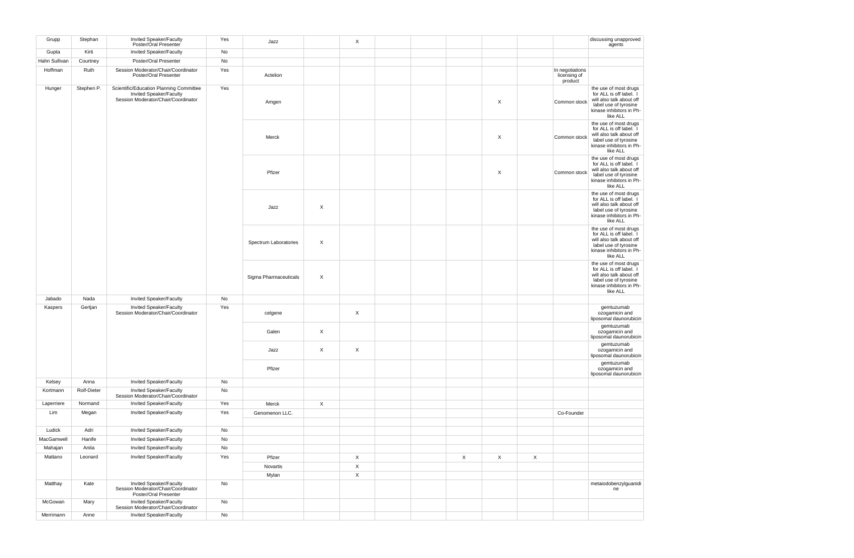| Grupp         | Stephan            | Invited Speaker/Faculty<br>Poster/Oral Presenter                                                          | Yes | Jazz                         |                  | X              |  |             |   |                                            | discussing unapproved<br>agents                                                                                                               |
|---------------|--------------------|-----------------------------------------------------------------------------------------------------------|-----|------------------------------|------------------|----------------|--|-------------|---|--------------------------------------------|-----------------------------------------------------------------------------------------------------------------------------------------------|
| Gupta         | Kirti              | Invited Speaker/Faculty                                                                                   | No  |                              |                  |                |  |             |   |                                            |                                                                                                                                               |
| Hahn Sullivan | Courtney           | <b>Poster/Oral Presenter</b>                                                                              | No  |                              |                  |                |  |             |   |                                            |                                                                                                                                               |
| Hoffman       | Ruth               | Session Moderator/Chair/Coordinator<br>Poster/Oral Presenter                                              | Yes | Actelion                     |                  |                |  |             |   | In negotiations<br>licensing of<br>product |                                                                                                                                               |
| Hunger        | Stephen P.         | Scientific/Education Planning Committee<br>Invited Speaker/Faculty<br>Session Moderator/Chair/Coordinator | Yes | Amgen                        |                  |                |  |             | X | Common stock                               | the use of most drugs<br>for ALL is off label. I<br>will also talk about off<br>label use of tyrosine<br>kinase inhibitors in Ph-<br>like ALL |
|               |                    |                                                                                                           |     | Merck                        |                  |                |  |             | X | Common stock                               | the use of most drugs<br>for ALL is off label. I<br>will also talk about off<br>label use of tyrosine<br>kinase inhibitors in Ph-<br>like ALL |
|               |                    |                                                                                                           |     | Pfizer                       |                  |                |  |             | X | Common stock                               | the use of most drugs<br>for ALL is off label. I<br>will also talk about off<br>label use of tyrosine<br>kinase inhibitors in Ph-<br>like ALL |
|               |                    |                                                                                                           |     | Jazz                         | $\boldsymbol{X}$ |                |  |             |   |                                            | the use of most drugs<br>for ALL is off label. I<br>will also talk about off<br>label use of tyrosine<br>kinase inhibitors in Ph-<br>like ALL |
|               |                    |                                                                                                           |     | <b>Spectrum Laboratories</b> | $\mathsf{X}$     |                |  |             |   |                                            | the use of most drugs<br>for ALL is off label. I<br>will also talk about off<br>label use of tyrosine<br>kinase inhibitors in Ph-<br>like ALL |
|               |                    |                                                                                                           |     | Sigma Pharmaceuticals        | $\mathsf{X}$     |                |  |             |   |                                            | the use of most drugs<br>for ALL is off label. I<br>will also talk about off<br>label use of tyrosine<br>kinase inhibitors in Ph-<br>like ALL |
| Jabado        | Nada               | Invited Speaker/Faculty                                                                                   | No  |                              |                  |                |  |             |   |                                            |                                                                                                                                               |
| Kaspers       | Gertjan            | Invited Speaker/Faculty<br>Session Moderator/Chair/Coordinator                                            | Yes | celgene                      |                  | $\mathsf X$    |  |             |   |                                            | gemtuzumab<br>ozogamicin and<br>liposomal daunorubicin                                                                                        |
|               |                    |                                                                                                           |     | Galen                        | $\mathsf{X}$     |                |  |             |   |                                            | gemtuzumab<br>ozogamicin and<br>liposomal daunorubicin                                                                                        |
|               |                    |                                                                                                           |     | Jazz                         | $\mathsf{X}$     | $\mathsf{X}$   |  |             |   |                                            | gemtuzumab<br>ozogamicin and<br>liposomal daunorubicin                                                                                        |
|               |                    |                                                                                                           |     | Pfizer                       |                  |                |  |             |   |                                            | gemtuzumab<br>ozogamicin and<br>liposomal daunorubicin                                                                                        |
| Kelsey        | Anna               | Invited Speaker/Faculty                                                                                   | No  |                              |                  |                |  |             |   |                                            |                                                                                                                                               |
| Kortmann      | <b>Rolf-Dieter</b> | <b>Invited Speaker/Faculty</b><br>Session Moderator/Chair/Coordinator                                     | No  |                              |                  |                |  |             |   |                                            |                                                                                                                                               |
| Laperriere    | Normand            | Invited Speaker/Faculty                                                                                   | Yes | Merck                        | $\mathsf{X}$     |                |  |             |   |                                            |                                                                                                                                               |
| Lim           | Megan              | Invited Speaker/Faculty                                                                                   | Yes | Genomenon LLC.               |                  |                |  |             |   | Co-Founder                                 |                                                                                                                                               |
| Ludick        | Adri               | Invited Speaker/Faculty                                                                                   | No  |                              |                  |                |  |             |   |                                            |                                                                                                                                               |
| MacGamwell    | Hanife             | Invited Speaker/Faculty                                                                                   | No  |                              |                  |                |  |             |   |                                            |                                                                                                                                               |
| Mahajan       | Anita              | Invited Speaker/Faculty                                                                                   | No  |                              |                  |                |  |             |   |                                            |                                                                                                                                               |
| Mattano       | Leonard            | Invited Speaker/Faculty                                                                                   | Yes | Pfizer                       |                  | $\mathsf X$    |  | $\mathsf X$ | X | $\mathsf X$                                |                                                                                                                                               |
|               |                    |                                                                                                           |     | Novartis                     |                  | $\mathsf{X}$   |  |             |   |                                            |                                                                                                                                               |
|               |                    |                                                                                                           |     | Mylan                        |                  | $\pmb{\times}$ |  |             |   |                                            |                                                                                                                                               |
| Matthay       | Kate               | Invited Speaker/Faculty<br>Session Moderator/Chair/Coordinator<br>Poster/Oral Presenter                   | No  |                              |                  |                |  |             |   |                                            | metaiodobenzylguanidi<br>ne                                                                                                                   |
| McGowan       | Mary               | Invited Speaker/Faculty<br>Session Moderator/Chair/Coordinator                                            | No  |                              |                  |                |  |             |   |                                            |                                                                                                                                               |
| Merrimann     | Anne               | Invited Speaker/Faculty                                                                                   | No  |                              |                  |                |  |             |   |                                            |                                                                                                                                               |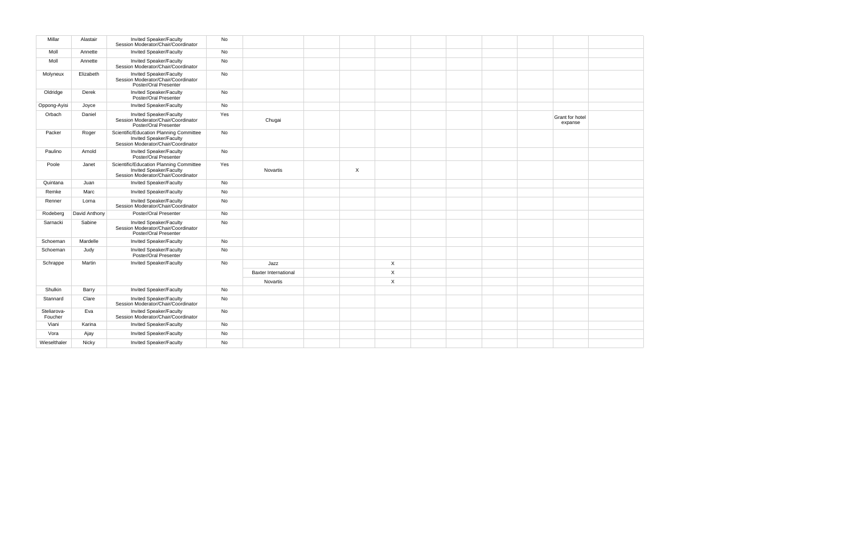| Millar                 | Alastair      | Invited Speaker/Faculty<br>Session Moderator/Chair/Coordinator                                            | No  |                             |                           |                |  |  |                            |  |
|------------------------|---------------|-----------------------------------------------------------------------------------------------------------|-----|-----------------------------|---------------------------|----------------|--|--|----------------------------|--|
| Moll                   | Annette       | Invited Speaker/Faculty                                                                                   | No  |                             |                           |                |  |  |                            |  |
| Moll                   | Annette       | Invited Speaker/Faculty<br>Session Moderator/Chair/Coordinator                                            | No  |                             |                           |                |  |  |                            |  |
| Molyneux               | Elizabeth     | Invited Speaker/Faculty<br>Session Moderator/Chair/Coordinator<br>Poster/Oral Presenter                   | No  |                             |                           |                |  |  |                            |  |
| Oldridge               | Derek         | Invited Speaker/Faculty<br>Poster/Oral Presenter                                                          | No  |                             |                           |                |  |  |                            |  |
| Oppong-Ayisi           | Joyce         | <b>Invited Speaker/Faculty</b>                                                                            | No  |                             |                           |                |  |  |                            |  |
| Orbach                 | Daniel        | Invited Speaker/Faculty<br>Session Moderator/Chair/Coordinator<br>Poster/Oral Presenter                   | Yes | Chugai                      |                           |                |  |  | Grant for hotel<br>expanse |  |
| Packer                 | Roger         | Scientific/Education Planning Committee<br>Invited Speaker/Faculty<br>Session Moderator/Chair/Coordinator | No  |                             |                           |                |  |  |                            |  |
| Paulino                | Arnold        | Invited Speaker/Faculty<br>Poster/Oral Presenter                                                          | No  |                             |                           |                |  |  |                            |  |
| Poole                  | Janet         | Scientific/Education Planning Committee<br>Invited Speaker/Faculty<br>Session Moderator/Chair/Coordinator | Yes | Novartis                    | $\boldsymbol{\mathsf{X}}$ |                |  |  |                            |  |
| Quintana               | Juan          | Invited Speaker/Faculty                                                                                   | No  |                             |                           |                |  |  |                            |  |
| Remke                  | Marc          | Invited Speaker/Faculty                                                                                   | No  |                             |                           |                |  |  |                            |  |
| Renner                 | Lorna         | Invited Speaker/Faculty<br>Session Moderator/Chair/Coordinator                                            | No  |                             |                           |                |  |  |                            |  |
| Rodeberg               | David Anthony | Poster/Oral Presenter                                                                                     | No  |                             |                           |                |  |  |                            |  |
| Sarnacki               | Sabine        | Invited Speaker/Faculty<br>Session Moderator/Chair/Coordinator<br>Poster/Oral Presenter                   | No  |                             |                           |                |  |  |                            |  |
| Schoeman               | Mardelle      | <b>Invited Speaker/Faculty</b>                                                                            | No  |                             |                           |                |  |  |                            |  |
| Schoeman               | Judy          | Invited Speaker/Faculty<br>Poster/Oral Presenter                                                          | No  |                             |                           |                |  |  |                            |  |
| Schrappe               | Martin        | Invited Speaker/Faculty                                                                                   | No  | Jazz                        |                           | $\mathsf{X}$   |  |  |                            |  |
|                        |               |                                                                                                           |     | <b>Baxter International</b> |                           | $\pmb{\times}$ |  |  |                            |  |
|                        |               |                                                                                                           |     | Novartis                    |                           | $\mathsf{X}$   |  |  |                            |  |
| Shulkin                | Barry         | Invited Speaker/Faculty                                                                                   | No  |                             |                           |                |  |  |                            |  |
| Stannard               | Clare         | Invited Speaker/Faculty<br>Session Moderator/Chair/Coordinator                                            | No  |                             |                           |                |  |  |                            |  |
| Steliarova-<br>Foucher | Eva           | Invited Speaker/Faculty<br>Session Moderator/Chair/Coordinator                                            | No  |                             |                           |                |  |  |                            |  |
| Viani                  | Karina        | <b>Invited Speaker/Faculty</b>                                                                            | No  |                             |                           |                |  |  |                            |  |
| Vora                   | Ajay          | Invited Speaker/Faculty                                                                                   | No  |                             |                           |                |  |  |                            |  |
| Wieselthaler           | Nicky         | Invited Speaker/Faculty                                                                                   | No  |                             |                           |                |  |  |                            |  |